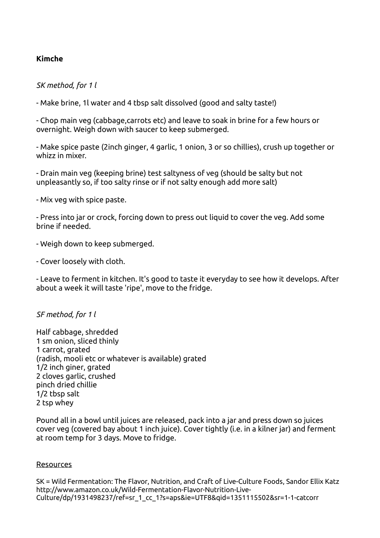## **Kimche**

*SK method, for 1 l*

- Make brine, 1l water and 4 tbsp salt dissolved (good and salty taste!)

- Chop main veg (cabbage,carrots etc) and leave to soak in brine for a few hours or overnight. Weigh down with saucer to keep submerged.

- Make spice paste (2inch ginger, 4 garlic, 1 onion, 3 or so chillies), crush up together or whizz in mixer.

- Drain main veg (keeping brine) test saltyness of veg (should be salty but not unpleasantly so, if too salty rinse or if not salty enough add more salt)

- Mix veg with spice paste.

- Press into jar or crock, forcing down to press out liquid to cover the veg. Add some brine if needed.

- Weigh down to keep submerged.

- Cover loosely with cloth.

- Leave to ferment in kitchen. It's good to taste it everyday to see how it develops. After about a week it will taste 'ripe', move to the fridge.

## *SF method, for 1 l*

Half cabbage, shredded 1 sm onion, sliced thinly 1 carrot, grated (radish, mooli etc or whatever is available) grated 1/2 inch giner, grated 2 cloves garlic, crushed pinch dried chillie 1/2 tbsp salt 2 tsp whey

Pound all in a bowl until juices are released, pack into a jar and press down so juices cover veg (covered bay about 1 inch juice). Cover tightly (i.e. in a kilner jar) and ferment at room temp for 3 days. Move to fridge.

## **Resources**

SK = Wild Fermentation: The Flavor, Nutrition, and Craft of Live-Culture Foods, Sandor Ellix Katz http://www.amazon.co.uk/Wild-Fermentation-Flavor-Nutrition-Live-Culture/dp/1931498237/ref=sr\_1\_cc\_1?s=aps&ie=UTF8&qid=1351115502&sr=1-1-catcorr